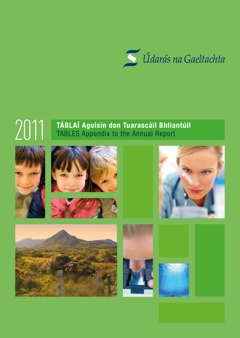

# **TÁBLAÍ Aguisín don Tuarascáil Bhliantúil TABLES Appendix to the Annual Report**











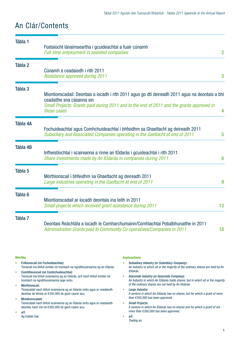# An Clár/Contents

| Tábla 1                                                                             | Fostaíocht lánaimseartha i gcuideachtaí a fuair cúnamh<br><b>Full-time employment in assisted companies</b>                                                                                                                                                                                                                                                                                                                                                                                                                                |                                                                                                                                                                                                                                                                                                                                                                                                                                                                                                                                                                                                                                                                             | $\overline{2}$ |
|-------------------------------------------------------------------------------------|--------------------------------------------------------------------------------------------------------------------------------------------------------------------------------------------------------------------------------------------------------------------------------------------------------------------------------------------------------------------------------------------------------------------------------------------------------------------------------------------------------------------------------------------|-----------------------------------------------------------------------------------------------------------------------------------------------------------------------------------------------------------------------------------------------------------------------------------------------------------------------------------------------------------------------------------------------------------------------------------------------------------------------------------------------------------------------------------------------------------------------------------------------------------------------------------------------------------------------------|----------------|
| Tábla 2                                                                             | Cúnamh a ceadaíodh i rith 2011<br><b>Assistance approved during 2011</b>                                                                                                                                                                                                                                                                                                                                                                                                                                                                   |                                                                                                                                                                                                                                                                                                                                                                                                                                                                                                                                                                                                                                                                             | 3              |
| Tábla 3                                                                             | ceadaithe sna cásanna sin<br>those cases                                                                                                                                                                                                                                                                                                                                                                                                                                                                                                   | Miontionscadail: Deontais a íocadh i rith 2011 agus go dtí deireadh 2011 agus na deontais a bhí<br>Small Projects: Grants paid during 2011 and to the end of 2011 and the grants approved in                                                                                                                                                                                                                                                                                                                                                                                                                                                                                | 4              |
| Tábla 4A                                                                            |                                                                                                                                                                                                                                                                                                                                                                                                                                                                                                                                            | Fochuideachtaí agus Comhchuideachtaí i bhfeidhm sa Ghaeltacht ag deireadh 2011<br>Subsidiary and Associated Companies operating in the Gaeltacht at end of 2011                                                                                                                                                                                                                                                                                                                                                                                                                                                                                                             | 5              |
| <b>Tábla 4B</b>                                                                     | Infheistíochtaí i scaireanna a rinne an tÚdarás i gcuideachtaí i rith 2011<br>Share investments made by An tÚdarás in companies during 2011                                                                                                                                                                                                                                                                                                                                                                                                |                                                                                                                                                                                                                                                                                                                                                                                                                                                                                                                                                                                                                                                                             | 8              |
| Tábla 5                                                                             | Mórthionscail i bhfeidhm sa Ghaeltacht ag deireadh 2011<br>Large industries operating in the Gaeltacht at end of 2011                                                                                                                                                                                                                                                                                                                                                                                                                      |                                                                                                                                                                                                                                                                                                                                                                                                                                                                                                                                                                                                                                                                             | 9              |
| Tábla <sub>6</sub>                                                                  | Miontionscadail ar íocadh deontais ina leith in 2011<br>Small projects which received grant assistance during 2011                                                                                                                                                                                                                                                                                                                                                                                                                         |                                                                                                                                                                                                                                                                                                                                                                                                                                                                                                                                                                                                                                                                             | 13             |
| Tábla 7                                                                             | Administration Grants paid to Community Co-operatives/Companies in 2011                                                                                                                                                                                                                                                                                                                                                                                                                                                                    | Deontais Reáchtála a íocadh le Comharchumainn/Comhlachtaí Pobalbhunaithe in 2011                                                                                                                                                                                                                                                                                                                                                                                                                                                                                                                                                                                            | 18             |
| <b>Mínithe</b><br>۰<br>Mórthionscail:<br>$\bullet$<br>Miontionscadail:<br>۰<br>a/t: | Fothionscail (nó Fochuideachtaí):<br>Tionscail ina bhfuil iomlán nó tromlach na ngnáthscaireanna ag an Údarás.<br>Comhthionscail (nó Comhchuideachtaí):<br>Tionscail ina bhfuil scaireanna ag an Údarás, ach nach bhfuil iomlán ná<br>tromlach na ngnáthscaireanna aige iontu.<br>Tionscadail nach bhfuil scaireanna ag an Údarás iontu agus ar ceadaíodh<br>deontas de bhreis ar €350,000 do gach ceann acu.<br>Tionscadail nach bhfuil scaireanna ag an Údarás iontu agus ar ceadaíodh<br>deontas nach mó ná €350,000 do gach ceann acu. | <b>Explanations</b><br><b>Subsidiary Industry (or Subsidiary Company):</b><br>An Industry in which all or the majority of the ordinary shares are held by An<br>tÚdarás.<br>Associate Industry (or Associate Company):<br>٠<br>An Industry in which An tÚdarás holds shares, but in which all or the majority<br>of the ordinary shares are not held by An tÚdarás.<br>Large Industry:<br>۰<br>A venture in which An tÚdarás has no shares, but for which a grant of more<br>than $\epsilon$ 350,000 has been approved.<br><b>Small Projects:</b><br>۰<br>A venture in which An tÚdarás has no shares and for which a grant of not<br>more than €350,000 has been approved. |                |

Ag trádáil mar.

 $\bullet$  a/t: *Trading as.*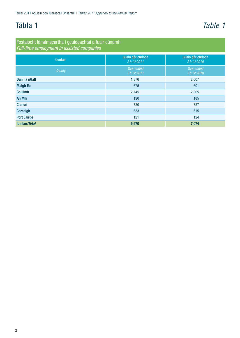# <span id="page-3-0"></span>Tábla 1 *Table 1*

Fostaíocht lánaimseartha i gcuideachtaí a fuair cúnamh *Full-time employment in assisted companies*

| Contae             | Bliain dár chríoch<br>31:12:2011 | Bliain dár chríoch<br>31:12:2010 |
|--------------------|----------------------------------|----------------------------------|
| County             | Year ended<br>31:12:2011         | Year ended<br>31:12:2010         |
| Dún na nGall       | 1,876                            | 2,007                            |
| <b>Maigh Eo</b>    | 675                              | 601                              |
| Gaillimh           | 2,745                            | 2,805                            |
| <b>An Mhí</b>      | 190                              | 185                              |
| <b>Ciarraí</b>     | 730                              | 737                              |
| <b>Corcaigh</b>    | 633                              | 615                              |
| <b>Port Láirge</b> | 121                              | 124                              |
| Iomlán/Total       | 6,970                            | 7,074                            |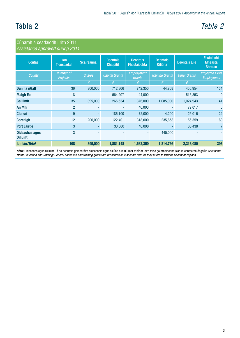# <span id="page-4-0"></span>Tábla 2 *Table 2*

| Cúnamh a ceadaíodh i rith 2011<br>Assistance approved during 2011 |                              |                   |                                     |                                 |                                   |                      |                                                       |  |
|-------------------------------------------------------------------|------------------------------|-------------------|-------------------------------------|---------------------------------|-----------------------------------|----------------------|-------------------------------------------------------|--|
| Contae                                                            | Líon<br><b>Tionscadal</b>    | <b>Scaireanna</b> | <b>Deontais</b><br><b>Chaipitil</b> | <b>Deontais</b><br>Fhostaíochta | <b>Deontais</b><br><b>Oiliúna</b> | <b>Deontais Eile</b> | <b>Fostaíocht</b><br><b>Mheasta</b><br><b>Bhreise</b> |  |
| County                                                            | Number of<br><b>Projects</b> | <b>Shares</b>     | <b>Capital Grants</b>               | <b>Employment</b><br>Grants     | <b>Training Grants</b>            | <b>Other Grants</b>  | <b>Projected Extra</b><br>Employment                  |  |
|                                                                   |                              | €                 | €                                   | $\epsilon$                      | f                                 | €                    |                                                       |  |
| Dún na nGall                                                      | 36                           | 300,000           | 712,806                             | 742,350                         | 44,908                            | 450,954              | 154                                                   |  |
| <b>Maigh Eo</b>                                                   | 8                            |                   | 564,207                             | 44,000                          |                                   | 515,353              | 9                                                     |  |
| <b>Gaillimh</b>                                                   | 35                           | 395,000           | 265,634                             | 376,000                         | 1,085,000                         | 1,024,943            | 141                                                   |  |
| <b>An Mhí</b>                                                     | $\overline{2}$               |                   |                                     | 40,000                          |                                   | 79,017               | 5                                                     |  |
| <b>Ciarraí</b>                                                    | 9                            |                   | 186,100                             | 72,000                          | 4,200                             | 25,016               | 22                                                    |  |
| <b>Corcaigh</b>                                                   | 12                           | 200,000           | 122,401                             | 318,000                         | 235,658                           | 156,359              | 60                                                    |  |
| <b>Port Láirge</b>                                                | 3 <sup>1</sup>               |                   | 30,000                              | 40,000                          |                                   | 66,438               | $\overline{7}$                                        |  |
| <b>Oideachas agus</b><br><b>Oiliúint</b>                          | 3                            |                   |                                     |                                 | 445,000                           |                      |                                                       |  |
| <b>lomián/Total</b>                                               | 108                          | 895,000           | 1,881,148                           | 1,632,350                       | 1,814,766                         | 2,318,080            | 398                                                   |  |

**Nóta:** Oideachas agus Oiliúint: Tá na deontais ghinearálta oideachais agus oiliúna á léiriú mar mhír ar leith toisc go mbaineann siad le contaetha éagsúla Gaeltachta. *Note: Education and Training: General education and training grants are presented as a specific item as they relate to various Gaeltacht regions.*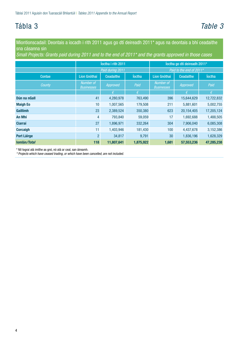# <span id="page-5-0"></span>Tábla 3 *Table 3*

Miontionscadail: Deontais a íocadh i rith 2011 agus go dtí deireadh 2011\* agus na deontais a bhí ceadaithe sna cásanna sin

*Small Projects: Grants paid during 2011 and to the end of 2011\* and the grants approved in those cases*

|                    | loctha i rith 2011             |                  | loctha go dtí deireadh 2011* |                                |                          |               |  |
|--------------------|--------------------------------|------------------|------------------------------|--------------------------------|--------------------------|---------------|--|
|                    |                                | Paid during 2011 |                              |                                | Paid to the end of 2011* |               |  |
| Contae             | Líon Gnóthaí                   | <b>Ceadaithe</b> | <b>loctha</b>                | <b>Líon Gnóthaí</b>            | Ceadaithe                | <b>loctha</b> |  |
| County             | Number of<br><b>Businesses</b> | Approved         | Paid                         | Number of<br><b>Businesses</b> | Approved                 | Paid          |  |
|                    |                                | €                | $\epsilon$                   |                                | €                        | $\epsilon$    |  |
| Dún na nGall       | 41                             | 4,280,978        | 763,490                      | 396                            | 15,644,629               | 12,722,832    |  |
| <b>Maigh Eo</b>    | 10                             | 1,007,565        | 179,508                      | 211                            | 5,881,601                | 5,002,755     |  |
| Gaillimh           | 23                             | 2,389,524        | 350,380                      | 623                            | 20,154,405               | 17,205,124    |  |
| <b>An Mhí</b>      | 4                              | 793,840          | 59,059                       | 17                             | 1,692,688                | 1,488,505     |  |
| <b>Ciarraí</b>     | 27                             | 1,896,971        | 332,264                      | 304                            | 7,906,040                | 6,085,308     |  |
| <b>Corcaigh</b>    | 11                             | 1,403,946        | 181,430                      | 100                            | 4,437,678                | 3,152,386     |  |
| <b>Port Láirge</b> | $\overline{2}$                 | 34.817           | 9,791                        | 30 <sup>°</sup>                | 1,836,196                | 1,628,329     |  |
| Iomlán/Total       | 118                            | 11,807,641       | 1,875,922                    | 1,681                          | 57,553,236               | 47,285,238    |  |

\* Níl tograí atá imithe as gnó, nó atá ar ceal, san áireamh.

*\* Projects which have ceased trading, or which have been cancelled, are not included.*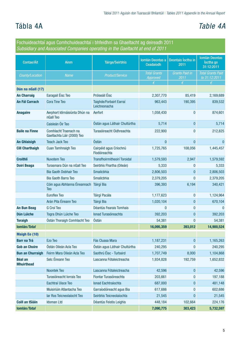# <span id="page-6-0"></span>Tábla 4A *Table 4A*

| Fochuideachtaí agus Comhchuideachtaí i bhfeidhm sa Ghaeltacht ag deireadh 2011<br>Subsidiary and Associated Companies operating in the Gaeltacht at end of 2011 |                                                     |                                         |                                             |                               |                                                  |
|-----------------------------------------------------------------------------------------------------------------------------------------------------------------|-----------------------------------------------------|-----------------------------------------|---------------------------------------------|-------------------------------|--------------------------------------------------|
| Contae/Áit                                                                                                                                                      | Ainm                                                | <b>Táirge/Seirbhís</b>                  | <b>Iomlán Deontas a</b><br><b>Ceadaíodh</b> | Deontais Íoctha in<br>2011    | <b>Iomlán Deontas</b><br>loctha go<br>31:12:2011 |
| County/Location                                                                                                                                                 | <b>Name</b>                                         | Product/Service                         | <b>Total Grants</b><br>Approved             | <b>Grants Paid in</b><br>2011 | <b>Total Grants Paid</b><br>to 31:12:2011        |
|                                                                                                                                                                 |                                                     |                                         | €                                           | €                             | $\epsilon$                                       |
| Dún na nGall (17)<br><b>An Charraig</b>                                                                                                                         | Earagail Éisc Teo                                   | Próiseáil Éisc                          | 2,307,770                                   | 85,419                        | 2,169,689                                        |
| <b>An Fál Carrach</b>                                                                                                                                           | <b>Cora Tine Teo</b>                                | Taighde/Forbairt Earraí                 | 963,443                                     | 190,395                       | 839,532                                          |
|                                                                                                                                                                 |                                                     | Leictreonacha                           |                                             |                               |                                                  |
| <b>Anagaire</b>                                                                                                                                                 | Aerphort Idirnáisiúnta Dhún na<br>nGall Teo         | Aerfort                                 | 1,058,430                                   | 0                             | 874,601                                          |
|                                                                                                                                                                 | Caisleán Óir Teo                                    | Óstán agus Láthair Chultúrtha           | 5,714                                       | $\bf{0}$                      | 5,714                                            |
| <b>Baile na Finne</b>                                                                                                                                           | Comhlacht Traenach na<br>Gaeltachta Láir (2000) Teo | Turasóireacht Oidhreachta               | 222,900                                     | $\mathbf{0}$                  | 212,825                                          |
| <b>An Ghlaisigh</b>                                                                                                                                             | <b>Teach Jack Teo</b>                               | Óstán                                   | 0                                           | $\mathbf{0}$                  | $\bf{0}$                                         |
| <b>Cill Charthaigh</b>                                                                                                                                          | <b>Cuan Tamhnaigh Teo</b>                           | Cairpéid agus Críochnú<br>Fíodóireachta | 1,725,765                                   | 108,056                       | 1,445,457                                        |
| <b>Croithlí</b>                                                                                                                                                 | <b>Nuvotem Teo</b>                                  | <b>Transfhoirmitheoirí Toroidal</b>     | 1,579,593                                   | 2,947                         | 1,579,592                                        |
| <b>Doirí Beaga</b>                                                                                                                                              | Turasmara Dún na nGall Teo                          | Seirbhís Fhartha (Oileán)               | 5,333                                       | 0                             | 5,333                                            |
|                                                                                                                                                                 | <b>Bia Gaoth Dobhair Teo</b>                        | Smailcbhia                              | 2,806,503                                   | $\mathbf{0}$                  | 2,806,503                                        |
|                                                                                                                                                                 | <b>Bia Gaoth Barra Teo</b>                          | Smailcbhia                              | 2,379,205                                   | $\mathbf{0}$                  | 2,379,205                                        |
|                                                                                                                                                                 | Cóin agus Abhlanna Éireannach<br><b>Teo</b>         | <b>Táirgí Bia</b>                       | 396,393                                     | 6,194                         | 340,421                                          |
|                                                                                                                                                                 | <b>Euroflex Teo</b>                                 | Táirgí Pacála                           | 1,177,623                                   | 0                             | 1,124,964                                        |
|                                                                                                                                                                 | Arán Pita Éireann Teo                               | Táirgí Bia                              | 1,020,104                                   | $\bf{0}$                      | 670,104                                          |
| <b>An Bun Beag</b>                                                                                                                                              | G Croí Teo                                          | Déantús Fearais Tomhais                 | $\bf{0}$                                    | 0                             | $\Omega$                                         |
| Dún Lúiche                                                                                                                                                      | Togra Dhún Lúiche Teo                               | Ionad Turasóireachta                    | 392,203                                     | $\bf{0}$                      | 392,203                                          |
| <b>Toraigh</b>                                                                                                                                                  | Óstán Thoraigh Comhlacht Teo                        | Óstán                                   | 54,381                                      | $\bf{0}$                      | 54,381                                           |
| Iomlán/Total                                                                                                                                                    |                                                     |                                         | 16,095,359                                  | 393,012                       | 14,900,524                                       |
| <b>Maigh Eo (10)</b>                                                                                                                                            |                                                     |                                         |                                             |                               |                                                  |
| <b>Barr na Trá</b>                                                                                                                                              | Ezo Teo                                             | Fás Cluasa Mara                         | 1,187,231                                   | $\bf{0}$                      | 1,165,263                                        |
| <b>Gob an Choire</b>                                                                                                                                            | Óstán Oileán Acla Teo                               | Óstán agus Láthair Chultúrtha           | 240,295                                     | $\mathbf{0}$                  | 240,295                                          |
| <b>Bun an Churraigh</b>                                                                                                                                         | Feirm Mara Oileán Acla Teo                          | Saothrú Éisc - Turbaird                 | 1,707,749                                   | 8,000                         | 1,104,868                                        |
| <b>Béal an</b><br><b>Mhuirthead</b>                                                                                                                             | Selc Éireann Teo                                    | Lascanna Fótaleictreacha                | 1,934,828                                   | 192,759                       | 1,652,832                                        |
|                                                                                                                                                                 | Noontek Teo                                         | Lascanna Fótaleictreacha                | 42,596                                      | $\bf{0}$                      | 42,596                                           |
|                                                                                                                                                                 | Turasóireacht Iorrais Teo                           | Fiontar Turasóireachta                  | 203,661                                     | $\pmb{0}$                     | 197,188                                          |
|                                                                                                                                                                 | Eachtraí Uisce Teo                                  | Ionad Eachtraíochta                     | 687,000                                     | $\bf{0}$                      | 481,148                                          |
|                                                                                                                                                                 | Muisiriúin Atlantacha Teo                           | Garraíodóireacht agus Bia               | 617,686                                     | 0                             | 602,686                                          |
|                                                                                                                                                                 | lar Ros Teicneolaíocht Teo                          | Seirbhís Teicneolaíochta                | 21,545                                      | $\bf{0}$                      | 21,545                                           |
| <b>Coill an tSiáin</b>                                                                                                                                          | <b>Idoman Ltd</b>                                   | Déantús Feistis Leighis                 | 448,184                                     | 102,664                       | 224,176                                          |
| Iomlán/Total                                                                                                                                                    |                                                     |                                         | 7,090,775                                   | 303,423                       | 5,732,597                                        |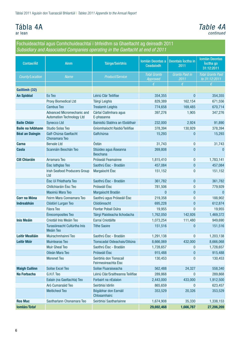# Tábla 4A

ar lean

#### *Table 4A continued*

Fochuideachtaí agus Comhchuideachtaí i bhfeidhm sa Ghaeltacht ag deireadh 2011 *Subsidiary and Associated Companies operating in the Gaeltacht at end of 2011*

| Contae/Áit              | <b>Ainm</b>                                                    | <b>Táirge/Seirbhís</b>                         | Iomlán Deontas a<br>Ceadaíodh   | Deontais Íoctha in<br>2011    | <b>Iomlán Deontas</b><br>loctha go<br>31:12:2011 |
|-------------------------|----------------------------------------------------------------|------------------------------------------------|---------------------------------|-------------------------------|--------------------------------------------------|
| County/Location         | <b>Name</b>                                                    | <b>Product/Service</b>                         | <b>Total Grants</b><br>Approved | <b>Grants Paid in</b><br>2011 | <b>Total Grants Paid</b><br>to 31:12:2011        |
|                         |                                                                |                                                | €                               | $\epsilon$                    | €                                                |
| Gaillimh (32)           |                                                                |                                                |                                 |                               |                                                  |
| <b>An Spidéal</b>       | Eo Teo                                                         | Léiriú Clár Teilifíse                          | 354,355                         | $\bf{0}$                      | 354,355                                          |
|                         | <b>Proxy Biomedical Ltd</b>                                    | Táirgí Leighis                                 | 829,389                         | 162,154                       | 671,556                                          |
|                         | <b>Cambus Teo</b>                                              | <b>Trealamh Leighis</b>                        | 774,658                         | 169,485                       | 670,714                                          |
|                         | Advanced Micromechanic and<br><b>Automation Technology Ltd</b> | Cártaí Ciallmhara agus<br>E-phasanna           | 397,276                         | 1,905                         | 347,276                                          |
| <b>Baile Chláir</b>     | <b>Synecco Ltd</b>                                             | Bainistiú Slabhra an tSoláthair                | 232,000                         | 2,924                         | 91,890                                           |
| <b>Baile na hAbhann</b> | <b>Studio Solas Teo</b>                                        | Gníomhaíocht Raidió/Teilifíse                  | 378,394                         | 130,929                       | 378,394                                          |
| <b>Béal an Daingin</b>  | Galf-Chúrsa Gaeltacht<br><b>Chonamara Teo</b>                  | Galfchúrsa                                     | 15,293                          | $\bf{0}$                      | 15,293                                           |
| <b>Carna</b>            | <b>Bervale Ltd</b>                                             | Óstán                                          | 31,743                          | $\bf{0}$                      | 31,743                                           |
| <b>Casla</b>            | Scannáin Beochán Teo                                           | Stiúideo agus Áiseanna<br><b>Beochana</b>      | 269,808                         | $\bf{0}$                      | $\mathbf{0}$                                     |
| <b>Cill Chiaráin</b>    | Arramara Teo                                                   | Próiseáil Feamainne                            | 1,815,410                       | 0                             | 1,783,141                                        |
|                         | Éisc lathglas Teo                                              | Saothrú Éisc - Bradáin                         | 457,084                         | 0                             | 457,084                                          |
|                         | <b>Irish Seafood Producers Group</b><br>Ltd                    | Margaíocht Éisc                                | 151,152                         | $\bf{0}$                      | 151,152                                          |
|                         | Éisc Uí Fhlatharta Teo                                         | Saothrú Éisc - Bradáin                         | 361,782                         | 0                             | 361,782                                          |
|                         | Chillchiaráin Éisc Teo                                         | Próiseáil Éisc                                 | 781,506                         | $\bf{0}$                      | 779,929                                          |
|                         | Maoiniú Mara Teo                                               | Margaíocht Bradán                              | $\mathbf{0}$                    | $\bf{0}$                      | $\mathbf{0}$                                     |
| <b>Corr na Móna</b>     | Feirm Mara Connamara Teo                                       | Saothrú agus Próiseáil Éisc                    | 219,358                         | $\bf{0}$                      | 188,902                                          |
| <b>Indreabhán</b>       | Clódóirí Lurgan Teo                                            | Clódóireacht                                   | 695,228                         | $\bf{0}$                      | 612,874                                          |
|                         | <b>Fásra Teo</b>                                               | Fiontar Pobail Dúlra                           | 19,955                          | $\mathbf{0}$                  | 19,955                                           |
|                         | Éirecomposites Teo                                             | Táirgí Plaisteacha Ilchodacha                  | 1,762,050                       | 142,926                       | 1,469,372                                        |
| <b>Inis Meáin</b>       | Cniotáil Inis Meáin Teo                                        | Earraí Cniotáilte                              | 1,073,254                       | 111,480                       | 949,690                                          |
|                         | Turasóireacht Cultúrtha Inis<br>Meáin Teo                      | <b>Tithe Saoire</b>                            | 151,516                         | 0                             | 151,516                                          |
| <b>Leitir Mealláin</b>  | Muirachmhainní Teo                                             | Saothrú Éisc - Bradáin                         | 1,291,138                       | 0                             | 1,203,138                                        |
| <b>Leitir Móir</b>      | <b>Muintearas Teo</b>                                          | Tionscadal Oideachais/Oiliúna                  | 8,666,069                       | 432,000                       | 8,666,068                                        |
|                         | <b>Muir Gheal Teo</b>                                          | Saothrú Éisc - Bradáin                         | 1,728,657                       | 0                             | 1,728,657                                        |
|                         | Oileán Mara Teo                                                | Próiseáil Éisc                                 | 915,488                         | $\bf{0}$                      | 915,488                                          |
|                         | <b>Morenet Teo</b>                                             | Seirbhís don Tionscail<br>Feirmeoireachta Éisc | 130,453                         | 0                             | 130,453                                          |
| <b>Maigh Cuilinn</b>    | Soilse Excel Teo                                               | Soilse Fluaraiseacha                           | 562,488                         | 24,327                        | 558,340                                          |
| Na Forbacha             | G.H.F. Teo                                                     | Léiriú Clár/Sraitheanna Teilifíse              | 289,868                         | $\bf{0}$                      | 289,868                                          |
|                         | Ealaín (na Gaeltachta) Teo                                     | Forbairt na nEalaíon                           | 2,443,000                       | 433,000                       | 1,912,500                                        |
|                         | Aró Cumarsáid Teo                                              | Seirbhísí Idirlín                              | 865,659                         | $\bf{0}$                      | 623,457                                          |
|                         | <b>Meiticheol Teo</b>                                          | Bógábhar don Earnáil<br>Chlosamhairc           | 353,529                         | 20,326                        | 353,529                                          |
| <b>Ros Muc</b>          | Saotharlann Chonamara Teo                                      | Seirbhísí Saotharlainne                        | 1,674,908                       | 35,330                        | 1,338,153                                        |
| Iomlán/Total            |                                                                |                                                | 29,692,468                      | 1,666,787                     | 27,206,269                                       |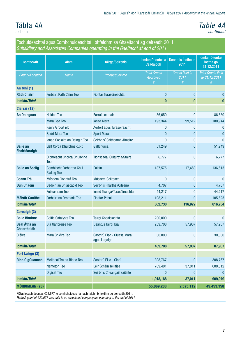# Tábla 4A

ar lean

*Table 4A continued*

| Fochuideachtaí agus Comhchuideachtaí i bhfeidhm sa Ghaeltacht ag deireadh 2011<br>Subsidiary and Associated Companies operating in the Gaeltacht at end of 2011 |                                                        |                                            |                                 |                               |                                                  |  |  |
|-----------------------------------------------------------------------------------------------------------------------------------------------------------------|--------------------------------------------------------|--------------------------------------------|---------------------------------|-------------------------------|--------------------------------------------------|--|--|
| Contae/Áit                                                                                                                                                      | <b>Ainm</b>                                            | <b>Táirge/Seirbhís</b>                     | Iomlán Deontas a<br>Ceadaíodh   | Deontais Íoctha in<br>2011    | <b>Iomlán Deontas</b><br>loctha go<br>31:12:2011 |  |  |
| County/Location                                                                                                                                                 | <b>Name</b>                                            | <b>Product/Service</b>                     | <b>Total Grants</b><br>Approved | <b>Grants Paid in</b><br>2011 | <b>Total Grants Paid</b><br>to 31:12:2011        |  |  |
|                                                                                                                                                                 |                                                        |                                            | €                               | €                             | $\epsilon$                                       |  |  |
| An Mhí (1)                                                                                                                                                      |                                                        |                                            |                                 |                               |                                                  |  |  |
| <b>Ráth Chairn</b>                                                                                                                                              | <b>Forbairt Rath Cairn Teo</b>                         | Fiontar Turasóireachta                     | 0                               | 0                             | $\Omega$                                         |  |  |
| Iomlán/Total                                                                                                                                                    |                                                        |                                            | $\bf{0}$                        | $\bf{0}$                      | $\bf{0}$                                         |  |  |
| Ciarraí (12)                                                                                                                                                    |                                                        |                                            |                                 |                               |                                                  |  |  |
| <b>An Daingean</b>                                                                                                                                              | <b>Holden Teo</b>                                      | Earraí Leathair                            | 86,650                          | 0                             | 86,650                                           |  |  |
|                                                                                                                                                                 | Mara Beo Teo                                           | <b>lonad Mara</b>                          | 193,344                         | 99,512                        | 180,944                                          |  |  |
|                                                                                                                                                                 | Kerry Airport plc                                      | Aerfort agus Turasóireacht                 | 0                               | 0                             | $\Omega$                                         |  |  |
|                                                                                                                                                                 | Spórt Mara Teo                                         | Spórt Mara                                 | $\overline{0}$                  | $\bf{0}$                      | $\mathbf{0}$                                     |  |  |
|                                                                                                                                                                 | Ionad Socialta an Daingin Teo                          | Seirbhísí Caitheamh Aimsire                | 0                               | $\mathbf{0}$                  | n                                                |  |  |
| <b>Baile an</b><br>Fheirtéaraigh                                                                                                                                | Galf Corca Dhuibhne c.p.t.                             | Galfchúrsa                                 | 51,249                          | $\overline{0}$                | 51,249                                           |  |  |
|                                                                                                                                                                 | Oidhreacht Chorca Dhuibhne<br><b>Teo</b>               | Tionscadal Cultúrtha/Staire                | 6,777                           | 0                             | 6,777                                            |  |  |
| <b>Baile an Sceilg</b>                                                                                                                                          | <b>Comhlacht Forbartha Chill</b><br><b>Rialaig Teo</b> | Ealaín                                     | 187,575                         | 17,460                        | 136,615                                          |  |  |
| <b>Ceann Trá</b>                                                                                                                                                | Músaem Fionntrá Teo                                    | Músaem Ceilteach                           | $\bf{0}$                        | 0                             | $\mathbf{0}$                                     |  |  |
| <b>Dún Chaoin</b>                                                                                                                                               | Bádóirí an Bhlascaoid Teo                              | Seirbhís Fhartha (Oileáin)                 | 4,707                           | 0                             | 4,707                                            |  |  |
|                                                                                                                                                                 | <b>Feileastram Teo</b>                                 | Ionad Teanga/Turasóireachta                | 44,217                          | $\mathbf{0}$                  | 44,217                                           |  |  |
| <b>Máistir Gaoithe</b>                                                                                                                                          | Forbairt na Dromada Teo                                | <b>Fiontar Pobail</b>                      | 108,211                         | $\bf{0}$                      | 105,625                                          |  |  |
| Iomlán/Total                                                                                                                                                    |                                                        |                                            | 682,730                         | 116,972                       | 616,784                                          |  |  |
| <b>Corcaigh (3)</b>                                                                                                                                             |                                                        |                                            |                                 |                               |                                                  |  |  |
| <b>Baile Bhuirne</b>                                                                                                                                            | <b>Celtic Catalysts Teo</b>                            | Táirgí Cógaisíochta                        | 200,000                         | 0                             | $\mathbf{0}$                                     |  |  |
| <b>Béal Átha an</b><br><b>Ghaorthaidh</b>                                                                                                                       | <b>Bia Ganbreise Teo</b>                               | Déantús Táirgí Bia                         | 259,708                         | 57,907                        | 57,907                                           |  |  |
| <b>Cléire</b>                                                                                                                                                   | Mara Chléire Teo                                       | Saothrú Éisc - Cluasa Mara<br>agus Lugaigh | 30,000                          | 0                             | 30,000                                           |  |  |
| Iomlán/Total                                                                                                                                                    |                                                        |                                            | 489,708                         | 57,907                        | 87,907                                           |  |  |
| Port Láirge (3)                                                                                                                                                 |                                                        |                                            |                                 |                               |                                                  |  |  |
| Rinn Ó gCuanach                                                                                                                                                 | Meitheal Trá na Rinne Teo                              | Saothrú Éisc - Oisrí                       | 308,767                         | $\bf{0}$                      | 308,767                                          |  |  |
|                                                                                                                                                                 | Nemeton Teo                                            | Léiriúcháin Teilifíse                      | 709,401                         | 37,011                        | 600,312                                          |  |  |
|                                                                                                                                                                 | <b>Digisat Teo</b>                                     | Seirbhís Cheangail Saitilíte               | $\pmb{0}$                       | $\bf{0}$                      | $\pmb{0}$                                        |  |  |
| Iomlán/Total                                                                                                                                                    |                                                        |                                            | 1,018,168                       | 37,011                        | 909,079                                          |  |  |
| MÓRIOMLÁN (78)                                                                                                                                                  |                                                        |                                            | 55,069,208                      | 2,575,112                     | 49,453,158                                       |  |  |

Nóta: Íocadh deontas €22,577 le comhchuideachta nach raibh i bhfeidhm ag deireadh 2011.

*Note: A grant of €22,577 was paid to an associated company not operating at the end of 2011.*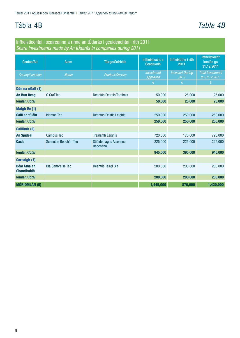# <span id="page-9-0"></span>Tábla 4B *Table 4B*

Infheistíochtaí i scaireanna a rinne an tÚdarás i gcuideachtaí i rith 2011 *Share investments made by An tÚdarás in companies during 2011*

| Contae/Áit                                | <b>Ainm</b>              | <b>Táirge/Seirbhís</b>                    | Infheistíocht a<br>Ceadaíodh | Infheistithe i rith<br>2011    | Infheistíocht<br>lomlán go<br>31:12:2011 |
|-------------------------------------------|--------------------------|-------------------------------------------|------------------------------|--------------------------------|------------------------------------------|
| County/Location                           | <b>Name</b>              | <b>Product/Service</b>                    | Investment<br>Approved       | <b>Invested During</b><br>2011 | <b>Total Investment</b><br>to 31:12:2011 |
|                                           |                          |                                           | €                            | €                              | €                                        |
| Dún na nGall (1)                          |                          |                                           |                              |                                |                                          |
| <b>An Bun Beag</b>                        | G Croí Teo               | Déantús Fearais Tomhais                   | 50,000                       | 25,000                         | 25,000                                   |
| Iomlán/Total                              |                          |                                           | 50,000                       | 25,000                         | 25,000                                   |
| <b>Maigh Eo (1)</b>                       |                          |                                           |                              |                                |                                          |
| <b>Coill an tSiáin</b>                    | <b>Idoman Teo</b>        | Déantus Feistis Leighis                   | 250,000                      | 250,000                        | 250,000                                  |
| Iomlán/Total                              |                          |                                           | 250,000                      | 250,000                        | 250,000                                  |
| Gaillimh (2)                              |                          |                                           |                              |                                |                                          |
| <b>An Spidéal</b>                         | <b>Cambus Teo</b>        | <b>Trealamh Leighis</b>                   | 720,000                      | 170,000                        | 720,000                                  |
| <b>Casla</b>                              | Scannáin Beochán Teo     | Stiúideo agus Áiseanna<br><b>Beochana</b> | 225,000                      | 225,000                        | 225,000                                  |
| Iomlán/Total                              |                          |                                           | 945,000                      | 395,000                        | 945,000                                  |
| <b>Corcaigh (1)</b>                       |                          |                                           |                              |                                |                                          |
| <b>Béal Átha an</b><br><b>Ghaorthaidh</b> | <b>Bia Ganbreise Teo</b> | Déantús Táirgí Bia                        | 200,000                      | 200,000                        | 200,000                                  |
| Iomlán/Total                              |                          |                                           | 200,000                      | 200,000                        | 200,000                                  |
| <b>MÓRIOMLÁN (5)</b>                      |                          |                                           | 1,445,000                    | 870,000                        | 1,420,000                                |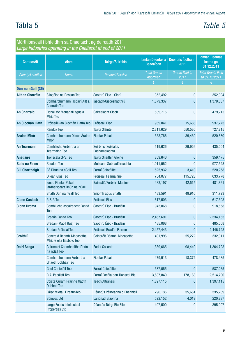# <span id="page-10-0"></span>Tábla 5 *Table 5*

#### Mórthionscail i bhfeidhm sa Ghaeltacht ag deireadh 2011 *Large industries operating in the Gaeltacht at end of 2011*

|                         | Largo maaoinoo oporaang in aro aaonaoni at ona or Eo       |                                       |                                 |                               |                                                  |
|-------------------------|------------------------------------------------------------|---------------------------------------|---------------------------------|-------------------------------|--------------------------------------------------|
| Contae/Áit              | <b>Ainm</b>                                                | <b>Táirge/Seirbhís</b>                | Iomlán Deontas a<br>Ceadaíodh   | Deontais Íoctha in<br>2011    | <b>Iomlán Deontas</b><br>loctha go<br>31:12:2011 |
| County/Location         | <b>Name</b>                                                | Product/Service                       | <b>Total Grants</b><br>Approved | <b>Grants Paid in</b><br>2011 | <b>Total Grants Paid</b><br>to 31:12:2011        |
|                         |                                                            |                                       | f                               | $\epsilon$                    | $\epsilon$                                       |
| Dún na nGall (35)       |                                                            |                                       |                                 |                               |                                                  |
| <b>Ailt an Chorráin</b> | Sliogéisc na Rossan Teo                                    | Saothrú Éisc - Oisrí                  | 352,492                         | $\bf{0}$                      | 352,004                                          |
|                         | Comharchumann Iascairí Ailt a<br><b>Chorráin Teo</b>       | lascach/Uisceshaothrú                 | 1,379,337                       | $\mathbf{0}$                  | 1,379,337                                        |
| <b>An Charraig</b>      | Donal Mc Monagail agus a<br><b>Mhic Teo</b>                | Cairéalacht Cloch                     | 539,715                         | $\bf{0}$                      | 479,215                                          |
| <b>An Clochán Liath</b> | Próiseáil (an Clochán Liath) Teo                           | Próiseáil Éisc                        | 959,041                         | 15,686                        | 937,773                                          |
|                         | <b>Randox Teo</b>                                          | Táirgí Sláinte                        | 2,811,629                       | 650,586                       | 727,215                                          |
| Árainn Mhór             | Comharchumann Oileán Árainn<br>Mhór                        | <b>Fiontar Pobail</b>                 | 553,766                         | 39,439                        | 520,680                                          |
| <b>An Tearmann</b>      | Comhlacht Forbartha an<br><b>Tearmainn Teo</b>             | Seirbhísí Sóisialta/<br>Eacnamaíochta | 519,626                         | 29,926                        | 435,004                                          |
| <b>Anagaire</b>         | <b>Tionscala GPE Teo</b>                                   | Táirgí Snáithín Gloine                | 359,646                         | $\mathbf{0}$                  | 359,475                                          |
| <b>Baile na Finne</b>   | <b>Raudon Teo</b>                                          | Muileann Sábhadóireachta              | 1,011,562                       | $\mathbf{0}$                  | 977,528                                          |
| <b>Cill Charthaigh</b>  | Bá Dhún na nGall Teo                                       | Earraí Cniotáilte                     | 525,932                         | 3,410                         | 520,258                                          |
|                         | Oileán Glas Teo                                            | Próiseáil Feamainne                   | 754,077                         | 115,723                       | 633,778                                          |
|                         | <b>Ionad Fiontar Pobail</b><br>lardheisceart Dhún na nGall | Bainistiú/Forbairt Maoine             | 483,197                         | 42,515                        | 481,861                                          |
|                         | Snáth Dún na nGall Teo                                     | Sníomh agus Snáth                     | 483,591                         | 49,916                        | 311,723                                          |
| <b>Cionn Caslach</b>    | P. F. P. Teo                                               | Próiseáil Éisc                        | 617,503                         | $\mathbf{0}$                  | 617,503                                          |
| <b>Cionn Droma</b>      | <b>Comhlucht lascaireacht Fanad</b><br><b>Teo</b>          | Saothrú Éisc - Bradáin                | 943,068                         | 0                             | 918,558                                          |
|                         | Bradán Fanad Teo                                           | Saothrú Éisc - Bradáin                | 2,467,691                       | $\bf{0}$                      | 2,334,153                                        |
|                         | Bradán (Maoil Rua) Teo                                     | Saothrú Éisc - Bradáin                | 485,068                         | $\bf{0}$                      | 485,068                                          |
|                         | Bradán Próiseál Teo                                        | Próiseáil Bradán Feirme               | 2,457,443                       | $\pmb{0}$                     | 2,446,723                                        |
| <b>Croithlí</b>         | Concreid Réamh-Mheasctha<br>Mhic Giolla Easboic Teo        | Coincréit Réamh-Mheasctha             | 491,996                         | 55,272                        | 332,911                                          |
| <b>Doirí Beaga</b>      | Gairméidí Caomhnaithe Dhún<br>na nGall Teo                 | Éadaí Cosanta                         | 1,389,665                       | 98,440                        | 1,364,723                                        |
|                         | Comharchumann Forbartha<br><b>Ghaoth Dobhair Teo</b>       | <b>Fiontar Pobail</b>                 | 479,913                         | 18,372                        | 478,485                                          |
|                         | Gael Chniotáil Teo                                         | Earraí Cniotáilte                     | 587,065                         | $\pmb{0}$                     | 587,065                                          |
|                         | R.A. Pacáistí Teo                                          | Earraí Pacála don Tionscal Bia        | 3,637,840                       | 178,188                       | 2,514,790                                        |
|                         | Coiste Cúram Práinne Gaoth<br><b>Dobhair Teo</b>           | <b>Teach Altranais</b>                | 1,397,115                       | $\pmb{0}$                     | 1,397,115                                        |
|                         | Fáisc Miotail ÉireannTeo                                   | Déantús Páirteanna d'Fheithiclí       | 796,135                         | 35,661                        | 335,289                                          |
|                         | <b>Spinvox Ltd</b>                                         | Lárionad Glaonna                      | 522,152                         | 4,019                         | 220,237                                          |
|                         | Largo Foods Intellectual<br><b>Properties Ltd</b>          | Déantús Táirgí Bia Eile               | 497,500                         | $\boldsymbol{0}$              | 395,907                                          |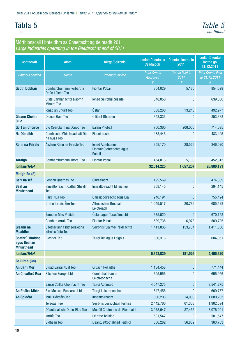### Tábla 5 ar lean

### *Table 5 continued*

#### Mórthionscail i bhfeidhm sa Ghaeltacht ag deireadh 2011 *Large industries operating in the Gaeltacht at end of 2011*

|                                                             | a yo maachico oporaang m aro daonaoni at ona o  |                                                          |                                        |                               |                                                  |
|-------------------------------------------------------------|-------------------------------------------------|----------------------------------------------------------|----------------------------------------|-------------------------------|--------------------------------------------------|
| Contae/Áit                                                  | <b>Ainm</b>                                     | <b>Táirge/Seirbhís</b>                                   | Iomlán Deontas a<br>Ceadaíodh          | Deontas Íoctha in<br>2011     | <b>Iomlán Deontas</b><br>loctha go<br>31:12:2011 |
| County/Location                                             | <b>Name</b>                                     | Product/Service                                          | <b>Total Grants</b><br><b>Approved</b> | <b>Grants Paid in</b><br>2011 | <b>Total Grants Paid</b><br>to 31:12:2011        |
|                                                             |                                                 |                                                          | €                                      | €                             | €                                                |
| <b>Gaoth Dobhair</b>                                        | Comharchumann Forbartha<br>Dhún Lúiche Teo      | <b>Fiontar Pobail</b>                                    | 854,029                                | 5,180                         | 854,029                                          |
|                                                             | Ciste Carthanachta Naomh<br><b>Mhuire Teo</b>   | Ionad Seirbhísí Sláinte                                  | 648,050                                | $\mathbf{0}$                  | 639,000                                          |
|                                                             | Ionad an Chúirt Teo                             | Óstán                                                    | 608,260                                | 13,243                        | 492,977                                          |
| <b>Gleann Cholm</b><br><b>Cille</b>                         | <b>Oideas Gael Teo</b>                          | Oiliúint Ghairme                                         | 353,333                                | $\mathbf{0}$                  | 353,333                                          |
| <b>Gort an Choirce</b>                                      | Cló Ceardlann na gCnoc Teo                      | Ealaín Phobail                                           | 750,360                                | 268,005                       | 714,695                                          |
| Na Dúnaibh                                                  | Comhlacht Mhic Nuadhait Dún<br>na nGall Teo     | Fíodóireacht                                             | 483,445                                | $\bf{0}$                      | 483,445                                          |
| <b>Rann na Feirste</b>                                      | Áislann Rann na Feirste Teo                     | Ionad Acmhainne,<br>Fiontair, Oidhreachta agus<br>Pobail | 358,170                                | 28,526                        | 346,020                                          |
| <b>Toraigh</b>                                              | Comharchumann Thoraí Teo                        | <b>Fiontar Pobail</b>                                    | 454,813                                | 5,100                         | 452,313                                          |
| Iomlán/Total                                                |                                                 |                                                          | 32,014,225                             | 1,657,207                     | 26,880,191                                       |
| <b>Maigh Eo (8)</b>                                         |                                                 |                                                          |                                        |                               |                                                  |
| <b>Barr na Trá</b>                                          | <b>Lennon Quarries Ltd</b>                      | Cairéalacht                                              | 492,569                                | $\pmb{0}$                     | 474,369                                          |
| <b>Béal an</b><br><b>Mhuirthead</b>                         | Innealtóireacht Cathal Shevlin<br><b>Teo</b>    | Innealtóireacht Mheicniúil                               | 358,145                                | 0                             | 294,145                                          |
|                                                             | Páirc Nua Teo                                   | Garraíodóireacht agus Bia                                | 940,194                                | $\mathbf{0}$                  | 755,494                                          |
|                                                             | Crann Iorrais Éire Teo                          | Athnuachan Gréasáin<br>Leictreach                        | 1,049,517                              | 20,789                        | 685,528                                          |
|                                                             | Éamonn Mac Pháidín                              | Óstán agus Turasóireacht                                 | 675,520                                | $\bf{0}$                      | 670,152                                          |
|                                                             | <b>Comhar lorrais Teo</b>                       | <b>Fiontar Pobail</b>                                    | 589,735                                | 6,973                         | 509,735                                          |
| Gleann na<br><b>Muaidhe</b>                                 | Saotharlanna Bitheolaíocha<br>Idirnáisiúnta Teo | Seirbhísí Sláinte/Tréidliachta                           | 1,411,836                              | 153,764                       | 1,411,836                                        |
| <b>Ceathrú Thaidhg</b><br>agus Béal an<br><b>Mhuirthead</b> | <b>Bioshell Teo</b>                             | Táirgí Bia agus Leighis                                  | 836,313                                | $\bf{0}$                      | 604,061                                          |
| Iomlán/Total                                                |                                                 |                                                          | 6,353,829                              | 181,526                       | 5,405,320                                        |
| Gaillimh (38)                                               |                                                 |                                                          |                                        |                               |                                                  |
| <b>An Carn Mór</b>                                          | Cluad Earraí Nual Teo                           | <b>Cruach Rollaithe</b>                                  | 1,184,458                              | $\pmb{0}$                     | 771,444                                          |
| An Cheathrú Rua                                             | <b>Silcotec Europe Ltd</b>                      | Comhpháirteanna<br>Leictreonacha                         | 695,956                                | $\mathbf{0}$                  | 695,956                                          |
|                                                             | Earraí Coillte Chonnacht Teo                    | Táirgí Adhmaid                                           | 4,047,275                              | $\pmb{0}$                     | 3,541,275                                        |
| <b>An Pháirc Mhór</b>                                       | <b>Bio-Medical Research Ltd</b>                 | Táirgí Leictreonacha                                     | 847,456                                | $\bf{0}$                      | 609,787                                          |
| <b>An Spidéal</b>                                           | Innill Dóiteáin Teo                             | Innealtóireacht                                          | 1,080,203                              | 14,000                        | 1,080,203                                        |
|                                                             | <b>Telegael Teo</b>                             | Seirbhís Léiriúcháin Teilifíse                           | 2,442,766                              | 61,368                        | 1,902,594                                        |
|                                                             | Déantúsaíocht Dane-Elec Teo                     | Modúil Chuimhne do Ríomhairí                             | 3,078,647                              | 37,455                        | 3,076,001                                        |
|                                                             | larfhís Teo                                     | Léirithe Teilifíse                                       | 501,547                                | $\bf{0}$                      | 501,547                                          |
|                                                             | Sidheán Teo                                     | Déantús/Cothabháil Feithiclí                             | 666,262                                | 56,852                        | 363,763                                          |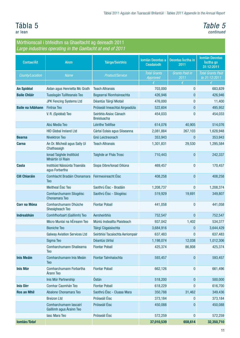# Tábla 5

ar lean

### *Table 5 continued*

#### Mórthionscail i bhfeidhm sa Ghaeltacht ag deireadh 2011 *Large industries operating in the Gaeltacht at end of 2011*

| Contae/Áit              | <b>Ainm</b>                                        | <b>Táirge/Seirbhís</b>                       | <b>Iomlán Deontas a</b><br>Ceadaíodh | Deontas Íoctha in<br>2011     | <b>Iomlán Deontas</b><br>loctha go<br>31:12:2011 |
|-------------------------|----------------------------------------------------|----------------------------------------------|--------------------------------------|-------------------------------|--------------------------------------------------|
| County/Location         | Name                                               | Product/Service                              | <b>Total Grants</b><br>Approved      | <b>Grants Paid in</b><br>2011 | <b>Total Grants Paid</b><br>to 31:12:2011        |
|                         |                                                    |                                              | €                                    | €                             | €                                                |
| <b>An Spidéal</b>       | Aidan agus Henrietta Mc Grath                      | <b>Teach Altranais</b>                       | 703,000                              | $\bf{0}$                      | 683,829                                          |
| <b>Baile Chláir</b>     | Tuaslagán Tuillteanais Teo                         | Bogearraí Ríomhaireachta                     | 426,946                              | $\bf{0}$                      | 426,946                                          |
|                         | <b>JPK Fencing Systems Ltd</b>                     | Déantús Táirgí Miotail                       | 476,000                              | $\mathbf{0}$                  | 11,400                                           |
| <b>Baile na hAbhann</b> | <b>Fintrax Teo</b>                                 | Próiseáil Imeachtaí Airgeadúla               | 522,604                              | $\bf{0}$                      | 495,952                                          |
|                         | V. R. (Spidéal) Teo                                | Seirbhís Aisíoc Cánach<br><b>Breisluacha</b> | 454,033                              | $\bf{0}$                      | 454,033                                          |
|                         | Abú Media Teo                                      | Léirithe Teilifíse                           | 614,076                              | 40,905                        | 514,076                                          |
|                         | <b>HID Global Ireland Ltd</b>                      | Cártaí Eolais agus Sliseanna                 | 2,081,884                            | 267,103                       | 1,628,948                                        |
| <b>Bearna</b>           | <b>Nivektron Teo</b>                               | Gnó Leictreonach                             | 353,943                              | $\pmb{0}$                     | 353,943                                          |
| <b>Carna</b>            | An Dr. Micheál agus Sally Uí<br>Chathasaigh        | <b>Teach Altranais</b>                       | 1,301,831                            | 29,530                        | 1,295,584                                        |
|                         | Ionad Taighde Institiúid<br>Mháirtín Uí Riain      | Taighde ar Fhás Trosc                        | 710,443                              | $\bf{0}$                      | 242,337                                          |
| <b>Casla</b>            | Institiúid Náisiúnta Traenála<br>agus Forbartha    | Siopa Oibre/Ionad Oiliúna                    | 469,457                              | $\bf{0}$                      | 170,457                                          |
| <b>Cill Chiaráin</b>    | <b>Comhlacht Bradáin Chonamara</b><br>Teo          | Feirmeoireacht Éisc                          | 408,258                              | $\bf{0}$                      | 408,258                                          |
|                         | Meitheal Éisc Teo                                  | Saothrú Éisc - Bradáin                       | 1,208,737                            | $\bf{0}$                      | 1,208,374                                        |
|                         | Comharchumann Sliogéisc<br>Chonamara Teo           | Saothrú Éisc - Sliogéisc                     | 519,929                              | 19,691                        | 349,807                                          |
| <b>Corr na Móna</b>     | Comharchumann Dhúiche<br>Sheoigheach Teo           | <b>Fiontar Pobail</b>                        | 441,058                              | $\mathbf{0}$                  | 441,058                                          |
| <b>Indreabhán</b>       | Comhfhorbairt (Gaillimh) Teo                       | Aersheirbhís                                 | 752,547                              | $\mathbf{0}$                  | 752,547                                          |
|                         | Micro Munlaí na hÉireann Teo                       | Múniú Insteallta Plaisteach                  | 937,042                              | 1,402                         | 534,377                                          |
|                         | <b>Bioniche Teo</b>                                | Táirgí Cógaisíochta                          | 3,684,916                            | $\mathbf{0}$                  | 3,644,429                                        |
|                         | <b>Galway Aviation Services Ltd</b>                | Seirbhísí Tacaíochta Aeriompair              | 637,483                              | 0                             | 637,483                                          |
|                         | Sigma Teo                                          | Déantús Uirlisí                              | 1,198,074                            | 12,038                        | 1,012,306                                        |
|                         | Comharchumann Shailearna<br><b>Teo</b>             | <b>Fiontar Pobail</b>                        | 425,374                              | 86,808                        | 425,374                                          |
| <b>Inis Meáin</b>       | Comharchumann Inis Meáin<br><b>Teo</b>             | Fiontar Talmhaíochta                         | 593,457                              | $\pmb{0}$                     | 593,457                                          |
| <b>Inis Mór</b>         | Comharchumann Forbartha<br>Árann Teo               | <b>Fiontar Pobail</b>                        | 662,126                              | $\bf{0}$                      | 661,496                                          |
|                         | Inis Mór Partnership                               | Óstán                                        | 518,200                              | $\bf{0}$                      | 500,000                                          |
| <b>Inis Oirr</b>        | Comhar Caomhán Teo                                 | <b>Fiontar Pobail</b>                        | 618,229                              | $\bf{0}$                      | 616,700                                          |
| <b>Ros an Mhíl</b>      | Abalone Chonamara Teo                              | Saothrú Éisc - Cluasa Mara                   | 350,788                              | 31,462                        | 349,436                                          |
|                         | <b>Breizon Ltd</b>                                 | Próiseáil Éisc                               | 373,184                              | $\bf{0}$                      | 373,184                                          |
|                         | Comharchumann Iascairí<br>Gaillimh agus Árainn Teo | Próiseáil Éisc                               | 450,088                              | $\mathbf{0}$                  | 450,088                                          |
|                         | lasc Mara Teo                                      | Próiseáil Éisc                               | 572,259                              | $\bf{0}$                      | 572,259                                          |
| Iomlán/Total            |                                                    |                                              | 37,010,539                           | 658,614                       | 32,350,710                                       |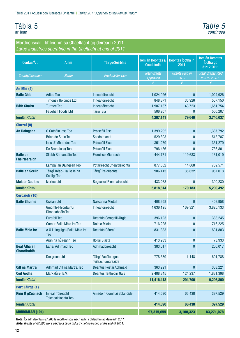# Tábla 5



#### Mórthionscail i bhfeidhm sa Ghaeltacht ag deireadh 2011 *Large industries operating in the Gaeltacht at end of 2011*

| Contae/Áit                                | <b>Ainm</b>                                     | <b>Táirge/Seirbhís</b>                  | <b>Iomlán Deontas a</b><br>Ceadaíodh | Deontas loctha in<br>2011     | <b>Iomlán Deontas</b><br>loctha go<br>31:12:2011 |
|-------------------------------------------|-------------------------------------------------|-----------------------------------------|--------------------------------------|-------------------------------|--------------------------------------------------|
| County/Location                           | <b>Name</b>                                     | <b>Product/Service</b>                  | <b>Total Grants</b><br>Approved      | <b>Grants Paid in</b><br>2011 | <b>Total Grants Paid</b><br>to 31:12:2011        |
|                                           |                                                 |                                         | €                                    | €                             | €                                                |
| An Mhí (4)                                |                                                 |                                         |                                      |                               |                                                  |
| <b>Baile Ghib</b>                         | <b>Adtec Teo</b>                                | Innealtóireacht                         | 1,024,926                            | $\mathbf{0}$                  | 1,024,926                                        |
|                                           | <b>Timoney Holdings Ltd</b>                     | Innealtóireacht                         | 848,871                              | 35,926                        | 557,150                                          |
| <b>Ráth Chairn</b>                        | <b>Turmec Teo</b>                               | Innealtóireacht                         | 1,907,137                            | 43,723                        | 1,651,754                                        |
|                                           | <b>Faughan Foods Ltd</b>                        | <b>Táirgí Bia</b>                       | 506,207                              | $\mathbf{0}$                  | 506,207                                          |
| Iomlán/Total                              |                                                 |                                         | 4,287,141                            | 79,649                        | 3,740,037                                        |
| Ciarraí (8)                               |                                                 |                                         |                                      |                               |                                                  |
| <b>An Daingean</b>                        | Ó Catháin lasc Teo                              | Próiseáil Éisc                          | 1,399,292                            | $\bf{0}$                      | 1,387,792                                        |
|                                           | <b>Brian de Staic Teo</b>                       | Seodóireacht                            | 529,803                              | $\bf{0}$                      | 513,787                                          |
|                                           | lasc Uí Mhathúna Teo                            | Próiseáil Éisc                          | 351,279                              | $\mathbf{0}$                  | 351,279                                          |
|                                           | De Brún (lasc) Teo                              | Próiseáil Éisc                          | 796,436                              | $\bf{0}$                      | 736,801                                          |
| <b>Baile an</b><br>Fheirtéaraigh          | Sliabh Bhreandáin Teo                           | <b>Fíoruisce Mianrach</b>               | 444,771                              | 119,683                       | 131,019                                          |
|                                           | Lampaí an Daingean Teo                          | Potaireacht Cheardaíochta               | 877,552                              | 14,868                        | 732,571                                          |
| <b>Baile an Sceilg</b>                    | Táirgí Tréad-Lia Baile na<br><b>SceilgeTeo</b>  | Táirgí Tréidliachta                     | 986,413                              | 35,632                        | 957,013                                          |
| <b>Máistir Gaoithe</b>                    | <b>Ivertec Ltd</b>                              | Bogearraí Ríomhaireachta                | 433,268                              | $\mathbf{0}$                  | 390,230                                          |
| Iomlán/Total                              |                                                 |                                         | 5,818,814                            | 170,183                       | 5,200,492                                        |
| <b>Corcaigh (10)</b>                      |                                                 |                                         |                                      |                               |                                                  |
| <b>Baile Bhuirne</b>                      | <b>Ossian Ltd</b>                               | Nascanna Miotail                        | 408,958                              | $\mathbf{0}$                  | 408,958                                          |
|                                           | Gníomh-Fhiontair Uí<br>Dhonnabháin Teo          | Innealtóireacht                         | 4,636,125                            | 169,321                       | 3,825,133                                        |
|                                           | <b>Eurofoil Teo</b>                             | Déantús Scragaill Airgid                | 396,123                              | $\pmb{0}$                     | 388,245                                          |
|                                           | <b>Cumar Baile Mhic Íre Teo</b>                 | <b>Doirse Miotail</b>                   | 716,225                              | $\bf{0}$                      | 716,225                                          |
| <b>Baile Mhic Ire</b>                     | A Ó Loingsigh (Baile Mhic Íre)<br><b>Teo</b>    | Déantús Cónraí                          | 831,883                              | $\mathbf{0}$                  | 831,883                                          |
|                                           | Arán na hÉireann Teo                            | Rollaí Blasta                           | 413,933                              | $\bf{0}$                      | 73,933                                           |
| <b>Béal Átha an</b><br><b>Ghaorthaidh</b> | Earraí Adhmaid Teo                              | Adhmadóireacht                          | 383,017                              | $\mathbf{0}$                  | 206,017                                          |
|                                           | Dexgreen Ltd                                    | Táirgí Pacála agus<br>Teileachumarsáide | 778,589                              | 1,148                         | 601,788                                          |
| <b>Cill na Martra</b>                     | Adhmad Cill na Martra Teo                       | Déantús Postaí Adhmaid                  | 363,221                              | $\pmb{0}$                     | 363,221                                          |
| <b>Cúil Aodha</b>                         | Mark (Éire) B.V.                                | Déantús Téitheoirí Gáis                 | 2,488,345                            | 124,237                       | 1,881,398                                        |
| Iomlán/Total                              |                                                 |                                         | 11,416,418                           | 294,706                       | 9,296,800                                        |
| Port Láirge (1)                           |                                                 |                                         |                                      |                               |                                                  |
| Rinn Ó gCuanach                           | <b>Inneall Tóireacht</b><br>Teicneolaíochta Teo | Amadóirí Comhlaí Solanóide              | 414,690                              | 66,438                        | 397,529                                          |
| Iomlán/Total                              |                                                 |                                         | 414,690                              | 66,438                        | 397,529                                          |
| <b>MÓRIOMLÁN (104)</b>                    |                                                 |                                         | 97,315,655                           | 3,108,323                     | 83,271,078                                       |

Nóta: Íocadh deontais €7,268 le mórthionscal nach raibh i bhfeidhm ag deireadh 2011. *Note: Grants of €7,268 were paid to a large industry not operating at the end of 2011.*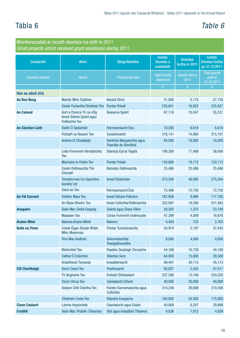# Tábla 6 *Table 6*

| Miontionscadail ar íocadh deontais ina leith in 2011<br>Small projects which received grant assistance during 2011 |                                                                                   |                                                    |                                         |                                   |                                                         |
|--------------------------------------------------------------------------------------------------------------------|-----------------------------------------------------------------------------------|----------------------------------------------------|-----------------------------------------|-----------------------------------|---------------------------------------------------------|
| <b>Contae/Ait</b>                                                                                                  | <b>Ainm</b>                                                                       | <b>Táirge/Seirbhís</b>                             | <b>lomlán</b><br>Deontas a<br>ceadaíodh | <b>Deontais</b><br>loctha in 2011 | <b>lomlán</b><br><b>Deontas Íoctha</b><br>go 31:12:2011 |
| County/Location                                                                                                    | <b>Name</b>                                                                       | <b>Product/Service</b>                             | <b>Total Grants</b><br>Approved         | <b>Grants Paid in</b><br>2011     | Total grants<br>paid to<br>31:12:2011                   |
|                                                                                                                    |                                                                                   |                                                    | €                                       | €                                 | €                                                       |
| Dún na nGall (43)                                                                                                  |                                                                                   |                                                    |                                         |                                   |                                                         |
| <b>An Bun Beag</b>                                                                                                 | <b>Muintir Mhic Suibhne</b>                                                       | Aonaid Ghnó                                        | 31,000                                  | 5,175                             | 27,128                                                  |
|                                                                                                                    | Coiste Forbartha Dhobhair Teo                                                     | <b>Fiontar Pobail</b>                              | 235,841                                 | 18,923                            | 235,837                                                 |
| <b>An Caiseal</b>                                                                                                  | Gort a Choirce Tír na nÓg<br>Ionad Sláinte, Spóirt agus<br><b>Foillíochta Teo</b> | Áiseanna Spóirt                                    | 67,118                                  | 10,547                            | 55,331                                                  |
| <b>An Clochán Liath</b>                                                                                            | Daithí Ó Gallachóir                                                               | Feirmeoireacht Éisc                                | 18,280                                  | 6,618                             | 6,618                                                   |
|                                                                                                                    | Forbairt na Rosann Teo                                                            | Turasóireacht                                      | 318,141                                 | 14,960                            | 315,101                                                 |
|                                                                                                                    | Andrea Uí Cheallaigh                                                              | Seirbhísí Margaíochta agus<br>Traenála do Ghnóthaí | 64,000                                  | 16,000                            | 16,000                                                  |
|                                                                                                                    | Leda Formwork Idirnáisiúnta<br>Teo                                                | Déantús Earraí Tógála                              | 199,300                                 | 17,468                            | 38,956                                                  |
|                                                                                                                    | Machaire le Chéile Teo                                                            | <b>Fiontar Pobail</b>                              | 134,880                                 | 19,112                            | 133,112                                                 |
|                                                                                                                    | Coiste Oidhreachta Thír<br><b>Chonaill</b>                                        | Bainistiú Oidhreachta                              | 25,486                                  | 25,486                            | 25,486                                                  |
|                                                                                                                    | <b>Templecrone Co-Operative</b><br><b>Society Ltd</b>                             | Ionad Díolacháin                                   | 275,204                                 | 48,000                            | 275,204                                                 |
|                                                                                                                    | Ostre'an Teo                                                                      | Feirmeoireacht Éisc                                | 75,496                                  | 72,750                            | 72,750                                                  |
| <b>An Fál Carrach</b>                                                                                              | <b>Feidhm Mara Teo</b>                                                            | Ionad Oiliúna Fothoinn                             | 187,959                                 | 9,990                             | 177,780                                                 |
|                                                                                                                    | An tSean Bheiric Teo                                                              | Ionad Cultúrtha/Oidhreachta                        | 252,087                                 | 19,356                            | 251,463                                                 |
| <b>Anagaire</b>                                                                                                    | Seán Mac Giolla Easpaig                                                           | Ceárta agus Siopa Oibre                            | 30,302                                  | 1,375                             | 23,140                                                  |
|                                                                                                                    | <b>Maassen Teo</b>                                                                | Córais Fuinnimh Inathnuaite                        | 47,299                                  | 4,089                             | 16,676                                                  |
| Árainn Mhór                                                                                                        | Naíonra Árainn Mhóir                                                              | <b>Naíonra</b>                                     | 4,454                                   | 733                               | 3,763                                                   |
| <b>Baile na Finne</b>                                                                                              | Coiste Éigse Sheáin Bháin<br><b>Mhic Meanman</b>                                  | Fiontar Turasóireachta                             | 50,974                                  | 2,197                             | 37,435                                                  |
|                                                                                                                    | Finn Mac Aodhain                                                                  | Gníomhaíochtaí<br>Teangabhunaithe                  | 8,000                                   | 4,000                             | 4,000                                                   |
|                                                                                                                    | Ríshimléirí Teo                                                                   | Feadáin Deataigh Chruaiche                         | 44,168                                  | 10,728                            | 44,168                                                  |
|                                                                                                                    | Cathal Ó Cnáimhsí                                                                 | Déantús Sorn                                       | 64,000                                  | 15,000                            | 28,500                                                  |
|                                                                                                                    | Ardaitheoirí Teoranta                                                             | Innealtóireacht                                    | 99,407                                  | 42,115                            | 45,173                                                  |
| <b>Cill Charthaigh</b>                                                                                             | Darni Ceard Teo                                                                   | Fíodóireacht                                       | 65,827                                  | 2,542                             | 47,011                                                  |
|                                                                                                                    | <b>Tír Boghaine Teo</b>                                                           | Forbairt Shóisialach                               | 237,590                                 | 13,746                            | 235,520                                                 |
|                                                                                                                    | <b>Cloch Chrua Teo</b>                                                            | Cairéalacht Chloch                                 | 40,000                                  | 20,000                            | 40,000                                                  |
|                                                                                                                    | Aislann Chill Chártha Teo                                                         | Fiontar Eacnamaíochta agus<br>Cultúrtha            | 314,248                                 | 26,688                            | 310,436                                                 |
|                                                                                                                    | Cliabhain Costa Teo                                                               | Déantús Eangacha                                   | 184,682                                 | 52,560                            | 175,065                                                 |
| <b>Cionn Caslach</b>                                                                                               | Lámha Inspioráide                                                                 | Ceardaíocht agus Ealaín                            | 40,069                                  | 6,257                             | 29,896                                                  |
| <b>Croithlí</b>                                                                                                    | Seán Mac Pháidín (Tíleanna)                                                       | Díol agus Insealbhú Tíleanna                       | 4,836                                   | 1,612                             | 4,836                                                   |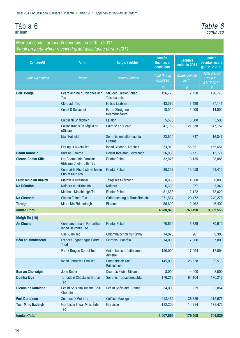### <span id="page-15-0"></span>Tábla 6 ar lean

*Table 6 continued*

| <b>Contae/Ait</b>            | <b>Ainm</b>                                               | <b>Táirge/Seirbhís</b>                     | <b>Iomlán</b><br>Deontas a<br>ceadaíodh | <b>Deontais</b><br>loctha in 2011        | <b>lomlán</b><br><b>Deontas Íoctha</b><br>go 31:12:2011 |
|------------------------------|-----------------------------------------------------------|--------------------------------------------|-----------------------------------------|------------------------------------------|---------------------------------------------------------|
| County/Location              | <b>Name</b>                                               | Product/Service                            | <b>Total Grants</b><br>Approved         | <b>Grants Paid in</b><br>$\frac{2011}{}$ | <b>Total grants</b><br>paid to<br>31:12:2011            |
|                              |                                                           |                                            | $\epsilon$                              | $\epsilon$                               | €                                                       |
| <b>Doirí Beaga</b>           | Ceardlann na gCroisbhealach<br>Teo                        | Stiúideo Ealaíon/Ionad<br>Taispeántais     | 126,776                                 | 2,750                                    | 126,776                                                 |
|                              | Cló Uladh Teo                                             | Foilsiú Leabhar                            | 43,576                                  | 3,480                                    | 37,141                                                  |
|                              | Conal Ó Gallachóir                                        | Earraí Stroighne<br>Réamhdhéanta           | 18,000                                  | 5,000                                    | 14,000                                                  |
|                              | Caitlín Ní Ghallchóir                                     | Ealaíon                                    | 5,550                                   | 5,500                                    | 5,500                                                   |
|                              | Coiste Traidisiún Tógála na<br>n0ileán                    | Suirbhé ar Oileáin                         | 47,152                                  | 21,338                                   | 47,152                                                  |
|                              | <b>Niall Haicéid</b>                                      | Seirbhís Innealtóireachta<br><b>Fuaime</b> | 23,620                                  | 847                                      | 16,847                                                  |
|                              | Éist agus Cuidiú Teo                                      | Ionad Glaonna, Árachas                     | 333,910                                 | 155,651                                  | 155,651                                                 |
| <b>Gaoth Dobhair</b>         | <b>Barr na Gaoithe</b>                                    | Deisiú Trealamh Leictreach                 | 26,000                                  | 15,771                                   | 15,771                                                  |
| <b>Gleann Cholm Cille</b>    | Lár Chomhairle Paróiste<br><b>Ghleann Cholm Cille Teo</b> | <b>Fiontar Pobail</b>                      | 32,076                                  | 3,135                                    | 28,085                                                  |
|                              | Comhairle Pharóiste Ghleann<br><b>Cholm Cille Teo</b>     | <b>Fiontar Pobail</b>                      | 80,352                                  | 13,058                                   | 58,410                                                  |
| <b>Leitir Mhic an Bhaird</b> | Mairtín Ó Cnáimhsí                                        | Táirgí Teas Lárnach                        | 8,000                                   | 4,000                                    | 8,000                                                   |
| <b>Na Dúnaibh</b>            | Naíonra na nDúnaibh                                       | <b>Naíonra</b>                             | 6,303                                   | 877                                      | 3,340                                                   |
|                              | <b>Meitheal Mhíobhaigh Teo</b>                            | <b>Fiontar Pobail</b>                      | 81,653                                  | 12,122                                   | 73,820                                                  |
| Na Gleannta                  | <b>Gleann Fhinne Teo</b>                                  | Oidhreacht agus Turasóireacht              | 271,564                                 | 29,472                                   | 249,278                                                 |
| <b>Toraigh</b>               | Máire Nic Fhionntaigh                                     | <b>Bialann</b>                             | 55,800                                  | 2,462                                    | 46,402                                                  |
| Iomlán/Total                 |                                                           |                                            | 4,280,978                               | 763,490                                  | 3,562,555                                               |
| <b>Maigh Eo (10)</b>         |                                                           |                                            |                                         |                                          |                                                         |
| <b>An Clochar</b>            | Comharchumann Forbartha<br><b>Ionad Deirbhile Teo</b>     | <b>Fiontar Pobail</b>                      | 70,619                                  | 5,789                                    | 70,610                                                  |
|                              | Gael-Linn Teo                                             | Gníomhaíochtaí Cultúrtha                   | 14,075                                  | 261                                      | 9,383                                                   |
| <b>Béal an Mhuirthead</b>    | <b>Frances Togher agus Garry</b><br><b>Todd</b>           | Seirbhís Priontála                         | 14,000                                  | 7,000                                    | 7,000                                                   |
|                              | Frank Brogan Spraoi Teo                                   | Gníomhaíocht Caitheamh<br><b>Aimsire</b>   | 150,000                                 | 17,094                                   | 17,094                                                  |
|                              | Ionad Forbartha Gnó Teo                                   | Comhairleoir Gnó/<br>Bainistíochta         | 145,000                                 | 28,658                                   | 89,513                                                  |
| <b>Bun an Churraigh</b>      | John Butler                                               | Déantús Píobaí Uileann                     | 8,000                                   | 4,000                                    | 8,000                                                   |
| <b>Dumha Éige</b>            | Tumadóirí Chósta an Iarthair<br><b>Teo</b>                | Seirbhísí Tumadóireachta                   | 176,213                                 | 64,104                                   | 176,213                                                 |
| <b>Gleann na Muaidhe</b>     | Scéim Sóisialta Tuaithe Chill<br>Choimín                  | Scéim Shóisialta Tuaithe                   | 34,000                                  | 929                                      | 32,864                                                  |
| <b>Port Durlainne</b>        | Séamus Ó Muirithe                                         | Coláiste Gaeilge                           | 213,452                                 | 36,739                                   | 115,675                                                 |
| <b>Tuar Mhic Éadaigh</b>     | Fíor Uisce Thuar Mhic Éide<br><b>Teo</b>                  | Fíoruisce                                  | 182,206                                 | 14,934                                   | 178,473                                                 |
| Iomlán/Total                 |                                                           |                                            | 1,007,565                               | 179,508                                  | 704,826                                                 |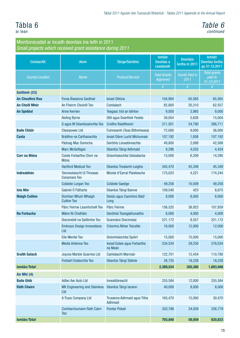#### Tábla 6 ar lean

### *Table 6 continued*

| <b>Contae/Ait</b>      | Ainm                                       | <b>Táirge/Seirbhís</b>                 | <b>lomlán</b><br>Deontas a<br>ceadaíodh | <b>Deontais</b><br>loctha in 2011 | <b>lomlán</b><br><b>Deontas Íoctha</b><br>go 31:12:2011 |
|------------------------|--------------------------------------------|----------------------------------------|-----------------------------------------|-----------------------------------|---------------------------------------------------------|
| County/Location        | <b>Name</b>                                | <b>Product/Service</b>                 | <b>Total Grants</b><br><b>Approved</b>  | <b>Grants Paid in</b><br>2011     | <b>Total grants</b><br>paid to<br>31:12:2011            |
|                        |                                            |                                        | $\epsilon$                              | $\epsilon$                        | €                                                       |
| Gaillimh (23)          |                                            |                                        |                                         |                                   |                                                         |
| <b>An Cheathrú Rua</b> | Foras Áiseanna Saothair                    | Ionad Oiliúna                          | 104,904                                 | 65,565                            | 65,565                                                  |
| <b>An Choill Mhór</b>  | An Fheirm Choiréil Teo                     | Coiréalach                             | 82,800                                  | 20,310                            | 62,557                                                  |
| <b>An Spidéal</b>      | <b>Anne Kerrien</b>                        | Teagasc tríd an Idirlíon               | 9,000                                   | 3,985                             | 9,000                                                   |
|                        | <b>Aisling Byrne</b>                       | Stílí agus Dearthóir Feistis           | 39,054                                  | 5,626                             | 15,004                                                  |
|                        | G agus M Déantúsaíochta Teo                | Croíthe Raiditheoirí                   | 311,501                                 | 24,790                            | 286,711                                                 |
| <b>Baile Chláir</b>    | <b>Clearpower Ltd</b>                      | Fuinneamh (Teas Bithmheasa)            | 72,000                                  | 9,000                             | 36,000                                                  |
| <b>Casla</b>           | Bráithre na Carthanachta                   | Ionad Oibre Lucht Míchumais            | 107,192                                 | 1,858                             | 107,192                                                 |
|                        | Pádraig Mac Donncha                        | Seirbhís Lónadóireachta                | 49,800                                  | 2,089                             | 42,589                                                  |
|                        | <b>Marc McGettigan</b>                     | Déantús Táirgí Adhmaid                 | 8,296                                   | 4,032                             | 4,434                                                   |
| <b>Corr na Móna</b>    | Coiste Forbartha Chorr na<br><b>Móna</b>   | Gníomhaíochtaí Sóisialacha             | 15,000                                  | 6,209                             | 14,295                                                  |
|                        | <b>Hartford Medical Teo</b>                | Déantús Trealamh Leighis               | 345,470                                 | 45,349                            | 45,349                                                  |
| <b>Indreabhán</b>      | Teicneolaíocht Uí Threasaí<br>Conamara Teo | Múnlaí d'Earraí Plaisteacha            | 175,023                                 | 4,221                             | 174,244                                                 |
|                        | Coláiste Lurgan Teo                        | <b>Coláiste Gaeilge</b>                | 49,258                                  | 10,509                            | 49,258                                                  |
| <b>Inis Mór</b>        | Gabriel Ó Fátharta                         | Déantús Táirgí Bainne                  | 109,540                                 | 425                               | 8,675                                                   |
| <b>Maigh Cuilinn</b>   | Domhan Mhuirí Mhaigh<br><b>Cuilinn Teo</b> | Deisiú agus Caomhnú Bád/<br>Long       | 8,000                                   | 8,000                             | 8,000                                                   |
|                        | Páirc Feirme Leamhchoill Teo               | Páirc Feirme                           | 156,525                                 | 38,922                            | 107,859                                                 |
| <b>Na Forbacha</b>     | Máire Ní Chatháin                          | Seirbhísí Teangabhunaithe              | 8,000                                   | 4,000                             | 4,000                                                   |
|                        | Doiciméidí na Gaillimhe Teo                | Scannánú Doiciméad                     | 221,172                                 | 8,557                             | 221,172                                                 |
|                        | <b>Embrace Design Innovations</b><br>Ltd   | Críochnú Ábhar Teicstíle               | 16,000                                  | 12,000                            | 12,000                                                  |
|                        | <b>Eile Mental Teo</b>                     | Gníomhaíochtaí Spóirt                  | 15,000                                  | 15,000                            | 15,000                                                  |
|                        | Media Antenna Teo                          | Ionad Eolais agus Forbartha<br>na Meán | 334,534                                 | 29,250                            | 276,034                                                 |
| <b>Sraith Salach</b>   | <b>Joyces Marble Quarries Ltd</b>          | Cairéalacht Marmair                    | 122,701                                 | 12,454                            | 110,780                                                 |
|                        | Forbairt Eolaíochta Teo                    | Déantús Táirgí Sláinte                 | 28,755                                  | 18,228                            | 18,228                                                  |
| Iomlán/Total           |                                            |                                        | 2,389,524                               | 350,380                           | 1,693,946                                               |
| An Mhí (4)             |                                            |                                        |                                         |                                   |                                                         |
| <b>Baile Ghib</b>      | <b>Adtec Aer Auto Ltd</b>                  | Innealtóireacht                        | 255,584                                 | 12,000                            | 255,584                                                 |
| <b>Ráth Chairn</b>     | <b>MK Engineering and Stainless</b><br>Ltd | Déantús Táirgí Iarainn                 | 40,000                                  | 8,000                             | 8,000                                                   |
|                        | A Truss Company Ltd                        | Trusanna Adhmaid agus Tithe<br>Adhmaid | 165,470                                 | 15,000                            | 30,470                                                  |
|                        | Comharchumann Rath Cairn<br><b>Teo</b>     | <b>Fiontar Pobail</b>                  | 332,786                                 | 24,059                            | 326,779                                                 |
| Iomlán/Total           |                                            |                                        | 793,840                                 | 59,059                            | 620,833                                                 |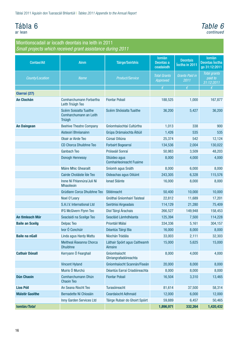# Tábla 6

ar lean

#### *Table 6 continued*

| <b>Contae/Ait</b>      | <b>Ainm</b>                                                         | <b>Táirge/Seirbhís</b>                           | <b>lomlán</b><br>Deontas a<br>ceadaíodh | <b>Deontais</b><br>loctha in 2011 | <b>lomlán</b><br><b>Deontas Íoctha</b><br>go 31:12:2011 |
|------------------------|---------------------------------------------------------------------|--------------------------------------------------|-----------------------------------------|-----------------------------------|---------------------------------------------------------|
| County/Location        | <b>Name</b>                                                         | <b>Product/Service</b>                           | <b>Total Grants</b><br>Approved         | <b>Grants Paid in</b><br>2011     | Total grants<br>paid to<br>31:12:2011                   |
|                        |                                                                     |                                                  | $\epsilon$                              | $\epsilon$                        | $\epsilon$                                              |
| Ciarraí (27)           |                                                                     |                                                  |                                         |                                   |                                                         |
| <b>An Clochán</b>      | Comharchumann Forbartha<br>Leith Triúigh Teo                        | <b>Fiontar Pobail</b>                            | 188,525                                 | 1,000                             | 167,877                                                 |
|                        | Scéim Soisialta Tuaithe<br>Comharchumann an Leith<br><b>Triúigh</b> | Scéim Shóisialta Tuaithe                         | 36,200                                  | 5,427                             | 36,200                                                  |
| <b>An Daingean</b>     | <b>Beehive Theatre Company</b>                                      | Gníomhaíochtaí Cultúrtha                         | 1,013                                   | 338                               | 900                                                     |
|                        | Aisteoirí Bhréanainn                                                | Grúpa Drámaíochta Áitiúil                        | 1,426                                   | 535                               | 535                                                     |
|                        | Obair ar Airde Teo                                                  | Cúrsaí Oiliúna                                   | 25,374                                  | 542                               | 12,124                                                  |
|                        | <b>CD Chorca Dhuibhne Teo</b>                                       | Forbairt Bogearraí                               | 134,536                                 | 2,004                             | 130,022                                                 |
|                        | <b>Ganbach Teo</b>                                                  | Próiseáil Sonraí                                 | 50,983                                  | 3,509                             | 48,203                                                  |
|                        | <b>Donogh Hennessy</b>                                              | Stiúideo agus<br><b>Comhairleoireacht Fuaime</b> | 8,000                                   | 4,000                             | 4,000                                                   |
|                        | Máire Mhic Ghearailt                                                | Sníomh agus Snáth                                | 8,000                                   | 6,000                             | 8,000                                                   |
|                        | Cairde Choláiste Ide Teo                                            | Oideachas agus Oiliúint                          | 243,305                                 | 6,328                             | 115,576                                                 |
|                        | Irene Ní Fhlannúra/Juli Ní<br><b>Mhaoileoin</b>                     | <b>Ionad Sláinte</b>                             | 16,000                                  | 8,000                             | 8,000                                                   |
|                        | Grúdlann Corca Dhuibhne Teo                                         | Stiléireacht                                     | 50,400                                  | 10,000                            | 10,000                                                  |
|                        | Noel O'Leary                                                        | Gnóthaí Gníomhairí Taisteal                      | 22,812                                  | 11,689                            | 17,201                                                  |
|                        | S.A.I.V. International Ltd                                          | Seirbhísí Airgeadais                             | 114,129                                 | 21,280                            | 75,409                                                  |
|                        | IFG McGivern Flynn Teo                                              | Díol Táirgí Árachais                             | 266,527                                 | 149,948                           | 158,453                                                 |
| An tImleach Mór        | Seaclaidi na Sceilge Teo                                            | Seacláid Lámhdhéanta                             | 125,394                                 | 7,500                             | 114,228                                                 |
| <b>Baile an Sceilg</b> | <b>Delpac Teo</b>                                                   | Priontáil Málaí                                  | 334,336                                 | 5,161                             | 304,157                                                 |
|                        | Ivor Ó Conchúir                                                     | Déantús Táirgí Bia                               | 16,000                                  | 8,000                             | 8,000                                                   |
| <b>Baile na nGall</b>  | Linda agus Hardy Mattu                                              | Níochán Trádála                                  | 33,003                                  | 2,111                             | 32,303                                                  |
|                        | Meitheal Áiseanna Chorca<br><b>Dhuibhne</b>                         | Láthair Spóirt agus Caitheamh<br>Aimsire         | 15,000                                  | 5,625                             | 15,000                                                  |
| <b>Cathair Dónall</b>  | Kerryann Ó Fearghail                                                | Gníomhaíocht<br>Ghriangrafadóireachta            | 8,000                                   | 4,000                             | 4,000                                                   |
|                        | <b>Vincent Hyland</b>                                               | Gníomhaíocht Scannán/Fiseán                      | 20,000                                  | 8,000                             | 8,000                                                   |
|                        | Muiris Ó Murchú                                                     | Déantús Earraí Criadóireachta                    | 8,000                                   | 8,000                             | 8,000                                                   |
| <b>Dún Chaoin</b>      | Comharchumann Dhún<br><b>Chaoin Teo</b>                             | <b>Fiontar Pobail</b>                            | 16,504                                  | 3,310                             | 13,465                                                  |
| <b>Lios Póil</b>       | An Seana Ríocht Teo                                                 | Turasóireacht                                    | 81,614                                  | 37,500                            | 58,314                                                  |
| <b>Máistir Gaoithe</b> | Bernadette Ní Chíosáin                                              | <b>Ceardaíocht Adhmaid</b>                       | 12,000                                  | 6,000                             | 12,000                                                  |
|                        | Inny Garden Services Ltd                                            | Táirge Rubair do Ghoirt Spóirt                   | 59,889                                  | 6,457                             | 50,465                                                  |
| Iomlán/Total           |                                                                     |                                                  | 1,896,971                               | 332,264                           | 1,420,432                                               |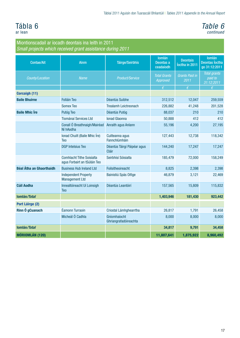### Tábla 6 ar lean

### *Table 6 continued*

| <b>Contae/Ait</b>               | <b>Ainm</b>                                                      | <b>Táirge/Seirbhís</b>                | <b>lomlán</b><br>Deontas a<br>ceadaíodh | <b>Deontais</b><br>loctha in 2011 | <b>lomlán</b><br><b>Deontas</b> Íoctha<br>go 31:12:2011 |
|---------------------------------|------------------------------------------------------------------|---------------------------------------|-----------------------------------------|-----------------------------------|---------------------------------------------------------|
| County/Location                 | <b>Name</b>                                                      | Product/Service                       | <b>Total Grants</b><br>Approved         | <b>Grants Paid in</b><br>2011     | <b>Total grants</b><br>paid to<br>31:12:2011            |
|                                 |                                                                  |                                       | $\epsilon$                              | $\epsilon$                        | €                                                       |
| <b>Corcaigh (11)</b>            |                                                                  |                                       |                                         |                                   |                                                         |
| <b>Baile Bhuirne</b>            | <b>Folláin Teo</b>                                               | Déantús Suibhe                        | 312,512                                 | 12,047                            | 259,559                                                 |
|                                 | <b>Somex Teo</b>                                                 | <b>Trealamh Leictreonach</b>          | 226,882                                 | 41,248                            | 201,528                                                 |
| <b>Baile Mhic Íre</b>           | Putóg Teo                                                        | Déantús Putóg                         | 88,037                                  | 210                               | 210                                                     |
|                                 | <b>Tiománaí Services Ltd</b>                                     | <b>Ionad Glaonna</b>                  | 50,888                                  | 412                               | 412                                                     |
|                                 | Conall Ó Breathnaigh/Mairéad<br>Ní hAodha                        | Anraith agus Anlann                   | 55,196                                  | 4,200                             | 27,195                                                  |
|                                 | Ionad Chuilt (Baile Mhic Íre)<br>Teo                             | Cuilteanna agus<br>Fannchlúmháin      | 127,443                                 | 12,738                            | 118,342                                                 |
|                                 | <b>DGP Intelsius Teo</b>                                         | Déantús Táirgí Páipéar agus<br>Cláir  | 144,240                                 | 17,247                            | 17,247                                                  |
|                                 | <b>Comhlacht Tithe Soisíalta</b><br>agus Forbairt an tSúláin Teo | Seirbhísí Sóisialta                   | 185,479                                 | 72,000                            | 158,249                                                 |
| <b>Béal Átha an Ghaorthaidh</b> | <b>Business Hub Ireland Ltd</b>                                  | Foilsitheoireacht                     | 8,825                                   | 2,398                             | 2,398                                                   |
|                                 | <b>Independent Property</b><br><b>Management Ltd</b>             | Bainistiú Spás Oifige                 | 46,879                                  | 3,121                             | 22,469                                                  |
| <b>Cúil Aodha</b>               | Innealtóireacht Uí Loinsigh<br><b>Teo</b>                        | Déantús Leantóirí                     | 157,565                                 | 15,809                            | 115,832                                                 |
| Iomlán/Total                    |                                                                  |                                       | 1,403,946                               | 181,430                           | 923,442                                                 |
| Port Láirge (2)                 |                                                                  |                                       |                                         |                                   |                                                         |
| Rinn Ó gCuanach                 | Éamonn Turraoin                                                  | Criostal Lámhghearrtha                | 26,817                                  | 1.791                             | 26,458                                                  |
|                                 | Micheál Ó Cadhla                                                 | Gníomhaíocht<br>Ghriangrafadóireachta | 8,000                                   | 8,000                             | 8,000                                                   |
| Iomlán/Total                    |                                                                  |                                       | 34,817                                  | 9,791                             | 34,458                                                  |
| MÓRIOMLÁN (120)                 |                                                                  |                                       | 11,807,641                              | 1,875,922                         | 8,960,492                                               |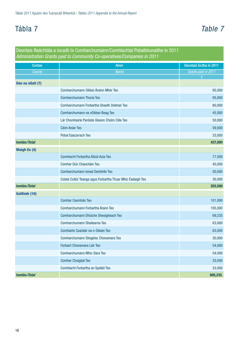# Tábla 7 *Table 7*

|                     | Deontais Reáchtála a íocadh le Comharchumainn/Comhlachtaí Pobalbhunaithe in 2011<br>Administration Grants paid to Community Co-operatives/Companies in 2011 |                         |
|---------------------|-------------------------------------------------------------------------------------------------------------------------------------------------------------|-------------------------|
| Contae              | <b>Ainm</b>                                                                                                                                                 | Deontais loctha in 2011 |
| County              | <b>Name</b>                                                                                                                                                 | Grants paid in 2011     |
|                     |                                                                                                                                                             | $\epsilon$              |
| Dún na nGall (7)    | Comharchumann Oiléan Árainn Mhór Teo                                                                                                                        |                         |
|                     |                                                                                                                                                             | 95,000                  |
|                     | Comharchumann Thoraí Teo                                                                                                                                    | 95,000                  |
|                     | Comharchumann Forbartha Ghaoth Dobhair Teo                                                                                                                  | 60,000                  |
|                     | Comharchumann na nOiléan Beag Teo                                                                                                                           | 45,000                  |
|                     | Lár Chomhairle Paróiste Gleann Cholm Cille Teo                                                                                                              | 50,000                  |
|                     | Céim Aniar Teo                                                                                                                                              | 59,000                  |
|                     | Pobal Eascarrach Teo                                                                                                                                        | 33,000                  |
| Iomlán/Total        |                                                                                                                                                             | 437,000                 |
| <b>Maigh Eo (4)</b> |                                                                                                                                                             |                         |
|                     | Comhlacht Forbartha Áitiúil Acla Teo                                                                                                                        | 77,500                  |
|                     | Comhar Dún Chaocháin Teo                                                                                                                                    | 45,000                  |
|                     | Comharchumann Ionad Deirbhile Teo                                                                                                                           | 50,000                  |
|                     | Coiste Cultúr Teanga agus Forbartha Thuar Mhic Éadaigh Teo                                                                                                  | 30,000                  |
| Iomlán/Total        |                                                                                                                                                             | 202,500                 |
| Gaillimh (10)       |                                                                                                                                                             |                         |
|                     | Comhar Caomhán Teo                                                                                                                                          | 101,000                 |
|                     | Comharchumann Forbartha Árann Teo                                                                                                                           | 105,000                 |
|                     | Comharchumann Dhúiche Sheoigheach Teo                                                                                                                       | 69,235                  |
|                     | Comharchumann Shailearna Teo                                                                                                                                | 63,000                  |
|                     | Comhairle Ceantair na n-Oileán Teo                                                                                                                          | 63,000                  |
|                     | Comharchumann Sliogéisc Chonamara Teo                                                                                                                       | 30,000                  |
|                     | Forbairt Chonamara Láir Teo                                                                                                                                 | 54,000                  |
|                     | Comharchumann Mhic Dara Teo                                                                                                                                 | 54,000                  |
|                     | Comhar Chuigéal Teo                                                                                                                                         | 33,000                  |
|                     | Comhlacht Forbartha an Spidéil Teo                                                                                                                          | 33,000                  |
| Iomlán/Total        |                                                                                                                                                             | 605,235.                |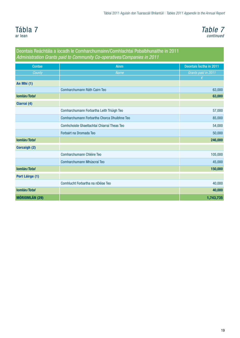<span id="page-20-0"></span>



### Deontais Reáchtála a íocadh le Comharchumainn/Comhlachtaí Pobalbhunaithe in 2011 *Administration Grants paid to Community Co-operatives/Companies in 2011* Contae Ainm Deontais Íoctha in 2011 *County Name Grants paid in 2011* An Mhí (1) Comharchumann Ráth Cairn Teo 63,000 Iomlán*/Total* 63,000 Ciarraí (4) Comharchumann Forbartha Leith Triúigh Teo 57,000 Comharchumann Forbartha Chorca Dhuibhne Teo 85,000 Comhchoiste Ghaeltachtaí Chiarraí Theas Teo 54,000 Forbairt na Dromada Teo 50,000 Iomlán*/Total* 246,000 Corcaigh (2) Comharchumann Chléire Teo **105,000** comharchumann Chléire Teo 105,000 comharchumann Chléire Teo 105,000 comharchumann Chléire Teo 105,000 comharchumann Chléire Teo 105,000 comharchumann Chléire Teo 105,000 comharchumann Ch Comharchumann Mhúscraí Teo 45,000 Iomlán*/Total* 150,000 Port Láirge (1) Comhlucht Forbartha na nDéise Teo 40,000 Iomlán*/Total* 40,000 MÓRIOMLÁN (29) POLITICS AND LONGITUDE EN EL CONTRADO DE LA CONTRADICIÓN DE LA CONTRADICIÓN DE LA CONTRADICIÓN D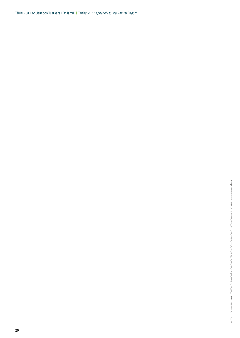Táblaí 2011 Aguisín don Tuarascáil Bhliantúil | *Tables 2011 Appendix to the Annual Report*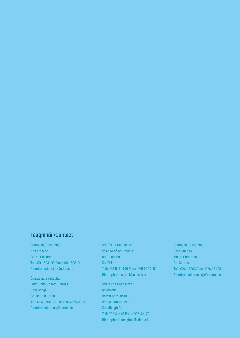### Teagmháil/Contact

Údarás na Gaeltachta Na Forbacha Co. na Gaillimhe Teil: 091 503100 Facs: 091 503101 Ríomhphost: eolas@udaras.ie

Údarás na Gaeltachta Páirc Ghnó Ghaoth Dobhair Doirí Beaga Co. Dhún na nGall Teil: 074 9560100 Facs: 074 9560101 Ríomhphost: dnag@udaras.ie

Údarás na Gaeltachta Páirc Ghnó an Daingin An Daingean Co. Chiarraí Teil: 066 9150100 Facs: 066 9150101 Ríomhphost: ciarrai@udaras.ie

Údarás na Gaeltachta An Áislann Bóthar an tSéipéil Béal an Mhuirthead Co. Mhaigh Eo Teil: 097 81418 Facs: 097 82179 Ríomhphost: maigheo@udaras.ie

Údarás na Gaeltachta Baile Mhic Íre Maigh Chromtha Co. Chorcaí Teil: 026 45366 Facs: 026 45423 Ríomhphost: corcaigh@udaras.ie